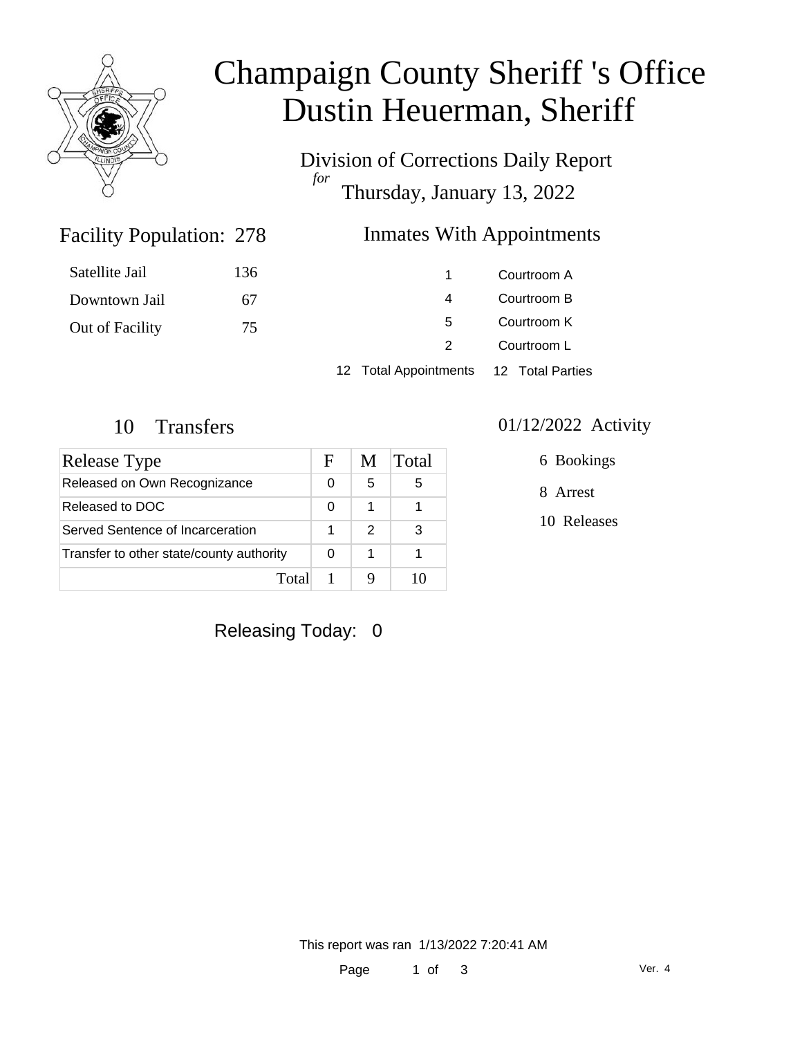

# Champaign County Sheriff 's Office Dustin Heuerman, Sheriff

Division of Corrections Daily Report *for* Thursday, January 13, 2022

## Facility Population: 278

### Inmates With Appointments

| Satellite Jail  | 136 |                                        | Courtroom A |  |
|-----------------|-----|----------------------------------------|-------------|--|
| Downtown Jail   | 67  | 4                                      | Courtroom B |  |
| Out of Facility | 75  | 5                                      | Courtroom K |  |
|                 |     |                                        | Courtroom L |  |
|                 |     | 12 Total Appointments 12 Total Parties |             |  |

| Release Type                             | н | M             | Total |
|------------------------------------------|---|---------------|-------|
| Released on Own Recognizance             | 0 | 5             | 5     |
| Released to DOC                          | O |               |       |
| Served Sentence of Incarceration         |   | $\mathcal{P}$ | З     |
| Transfer to other state/county authority |   |               |       |
| Total                                    |   |               |       |

#### 10 Transfers 01/12/2022 Activity

6 Bookings

8 Arrest

10 Releases

Releasing Today: 0

This report was ran 1/13/2022 7:20:41 AM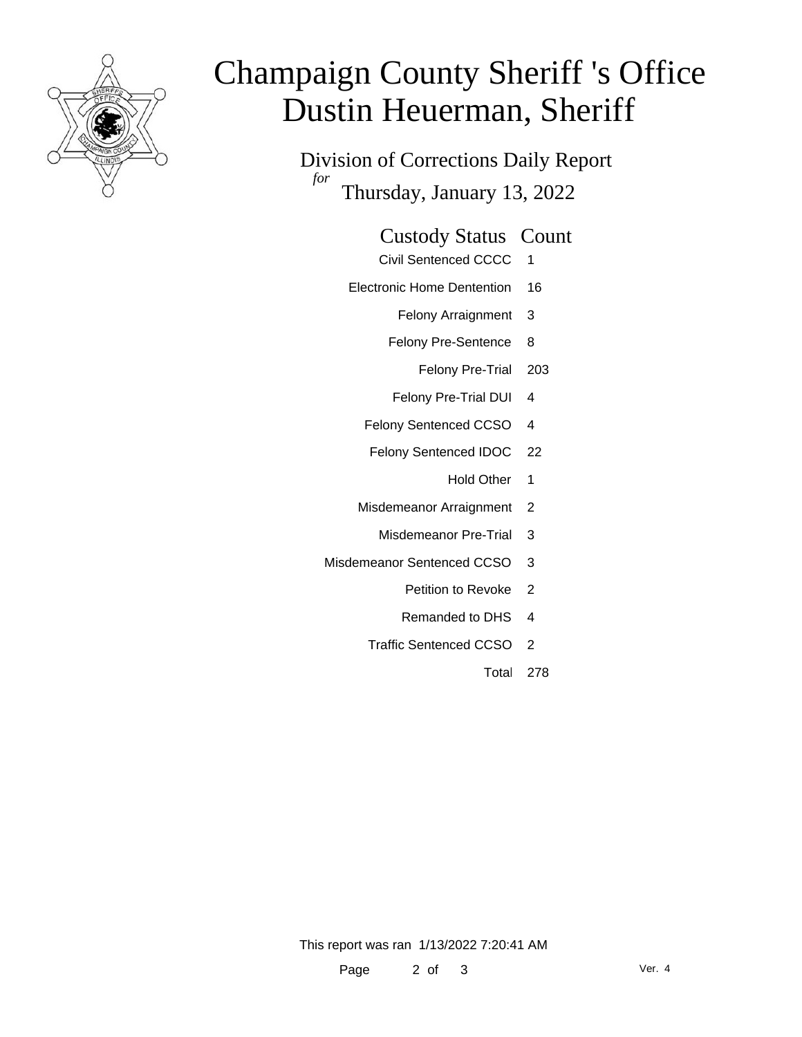

# Champaign County Sheriff 's Office Dustin Heuerman, Sheriff

Division of Corrections Daily Report *for* Thursday, January 13, 2022

#### Custody Status Count

- Civil Sentenced CCCC 1
- Electronic Home Dentention 16
	- Felony Arraignment 3
	- Felony Pre-Sentence 8
		- Felony Pre-Trial 203
	- Felony Pre-Trial DUI 4
	- Felony Sentenced CCSO 4
	- Felony Sentenced IDOC 22
		- Hold Other 1
	- Misdemeanor Arraignment 2
		- Misdemeanor Pre-Trial 3
- Misdemeanor Sentenced CCSO 3
	- Petition to Revoke 2
	- Remanded to DHS 4
	- Traffic Sentenced CCSO 2
		- Total 278

This report was ran 1/13/2022 7:20:41 AM